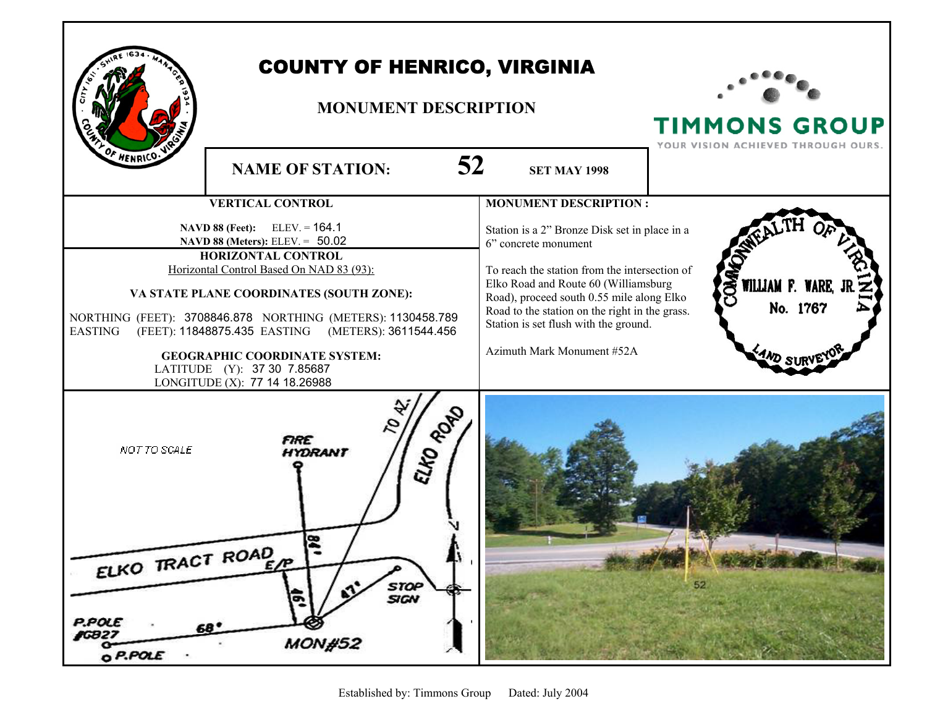

## COUNTY OF HENRICO, VIRGINIA

## **MONUMENT DESCRIPTION**



**TIMMONS GROUP**